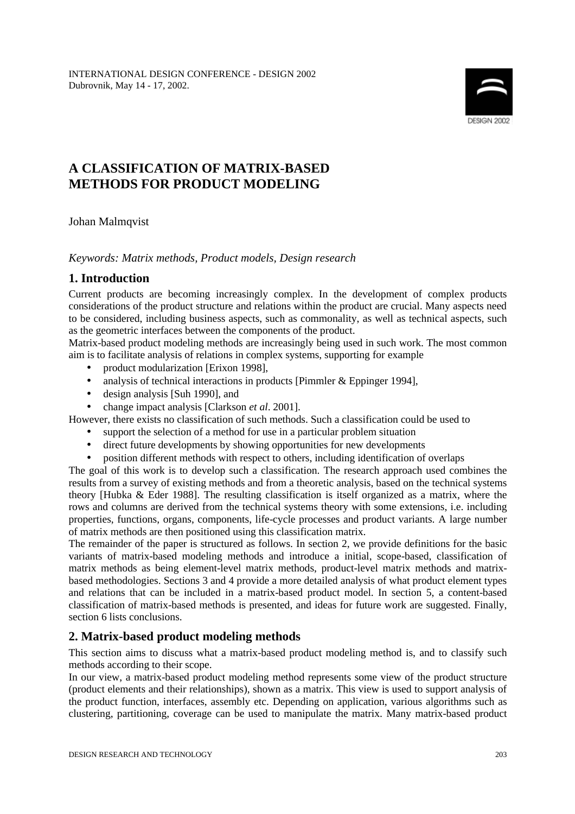

# **A CLASSIFICATION OF MATRIX-BASED METHODS FOR PRODUCT MODELING**

Johan Malmqvist

### *Keywords: Matrix methods, Product models, Design research*

# **1. Introduction**

Current products are becoming increasingly complex. In the development of complex products considerations of the product structure and relations within the product are crucial. Many aspects need to be considered, including business aspects, such as commonality, as well as technical aspects, such as the geometric interfaces between the components of the product.

Matrix-based product modeling methods are increasingly being used in such work. The most common aim is to facilitate analysis of relations in complex systems, supporting for example

- product modularization [Erixon 1998],
- analysis of technical interactions in products [Pimmler & Eppinger 1994],
- design analysis [Suh 1990], and
- change impact analysis [Clarkson *et al*. 2001].

However, there exists no classification of such methods. Such a classification could be used to

- support the selection of a method for use in a particular problem situation
- direct future developments by showing opportunities for new developments
- position different methods with respect to others, including identification of overlaps

The goal of this work is to develop such a classification. The research approach used combines the results from a survey of existing methods and from a theoretic analysis, based on the technical systems theory [Hubka & Eder 1988]. The resulting classification is itself organized as a matrix, where the rows and columns are derived from the technical systems theory with some extensions, i.e. including properties, functions, organs, components, life-cycle processes and product variants. A large number of matrix methods are then positioned using this classification matrix.

The remainder of the paper is structured as follows. In section 2, we provide definitions for the basic variants of matrix-based modeling methods and introduce a initial, scope-based, classification of matrix methods as being element-level matrix methods, product-level matrix methods and matrixbased methodologies. Sections 3 and 4 provide a more detailed analysis of what product element types and relations that can be included in a matrix-based product model. In section 5, a content-based classification of matrix-based methods is presented, and ideas for future work are suggested. Finally, section 6 lists conclusions.

# **2. Matrix-based product modeling methods**

This section aims to discuss what a matrix-based product modeling method is, and to classify such methods according to their scope.

In our view, a matrix-based product modeling method represents some view of the product structure (product elements and their relationships), shown as a matrix. This view is used to support analysis of the product function, interfaces, assembly etc. Depending on application, various algorithms such as clustering, partitioning, coverage can be used to manipulate the matrix. Many matrix-based product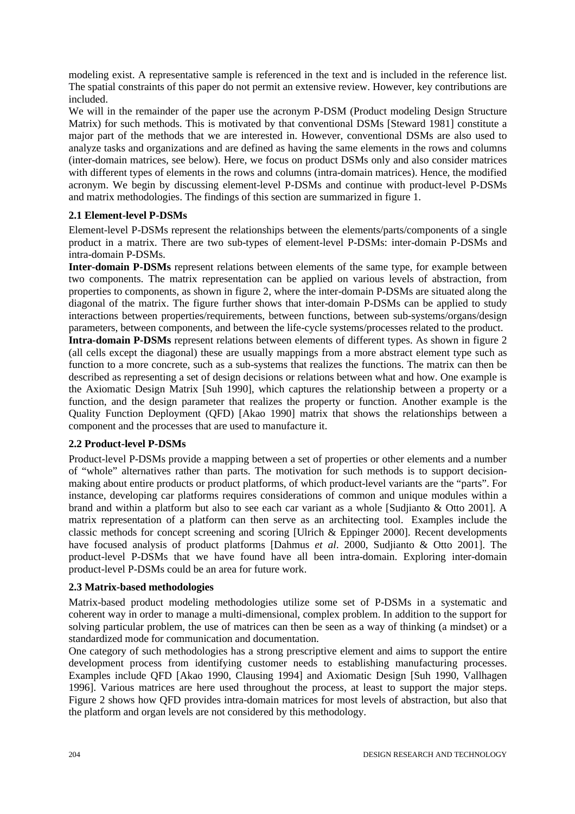modeling exist. A representative sample is referenced in the text and is included in the reference list. The spatial constraints of this paper do not permit an extensive review. However, key contributions are included.

We will in the remainder of the paper use the acronym P-DSM (Product modeling Design Structure Matrix) for such methods. This is motivated by that conventional DSMs [Steward 1981] constitute a major part of the methods that we are interested in. However, conventional DSMs are also used to analyze tasks and organizations and are defined as having the same elements in the rows and columns (inter-domain matrices, see below). Here, we focus on product DSMs only and also consider matrices with different types of elements in the rows and columns (intra-domain matrices). Hence, the modified acronym. We begin by discussing element-level P-DSMs and continue with product-level P-DSMs and matrix methodologies. The findings of this section are summarized in figure 1.

### **2.1 Element-level P-DSMs**

Element-level P-DSMs represent the relationships between the elements/parts/components of a single product in a matrix. There are two sub-types of element-level P-DSMs: inter-domain P-DSMs and intra-domain P-DSMs.

**Inter-domain P-DSMs** represent relations between elements of the same type, for example between two components. The matrix representation can be applied on various levels of abstraction, from properties to components, as shown in figure 2, where the inter-domain P-DSMs are situated along the diagonal of the matrix. The figure further shows that inter-domain P-DSMs can be applied to study interactions between properties/requirements, between functions, between sub-systems/organs/design parameters, between components, and between the life-cycle systems/processes related to the product.

**Intra-domain P-DSMs** represent relations between elements of different types. As shown in figure 2 (all cells except the diagonal) these are usually mappings from a more abstract element type such as function to a more concrete, such as a sub-systems that realizes the functions. The matrix can then be described as representing a set of design decisions or relations between what and how. One example is the Axiomatic Design Matrix [Suh 1990], which captures the relationship between a property or a function, and the design parameter that realizes the property or function. Another example is the Quality Function Deployment (QFD) [Akao 1990] matrix that shows the relationships between a component and the processes that are used to manufacture it.

### **2.2 Product-level P-DSMs**

Product-level P-DSMs provide a mapping between a set of properties or other elements and a number of "whole" alternatives rather than parts. The motivation for such methods is to support decisionmaking about entire products or product platforms, of which product-level variants are the "parts". For instance, developing car platforms requires considerations of common and unique modules within a brand and within a platform but also to see each car variant as a whole [Sudjianto & Otto 2001]. A matrix representation of a platform can then serve as an architecting tool. Examples include the classic methods for concept screening and scoring [Ulrich & Eppinger 2000]. Recent developments have focused analysis of product platforms [Dahmus *et al*. 2000, Sudjianto & Otto 2001]. The product-level P-DSMs that we have found have all been intra-domain. Exploring inter-domain product-level P-DSMs could be an area for future work.

### **2.3 Matrix-based methodologies**

Matrix-based product modeling methodologies utilize some set of P-DSMs in a systematic and coherent way in order to manage a multi-dimensional, complex problem. In addition to the support for solving particular problem, the use of matrices can then be seen as a way of thinking (a mindset) or a standardized mode for communication and documentation.

One category of such methodologies has a strong prescriptive element and aims to support the entire development process from identifying customer needs to establishing manufacturing processes. Examples include QFD [Akao 1990, Clausing 1994] and Axiomatic Design [Suh 1990, Vallhagen 1996]. Various matrices are here used throughout the process, at least to support the major steps. Figure 2 shows how QFD provides intra-domain matrices for most levels of abstraction, but also that the platform and organ levels are not considered by this methodology.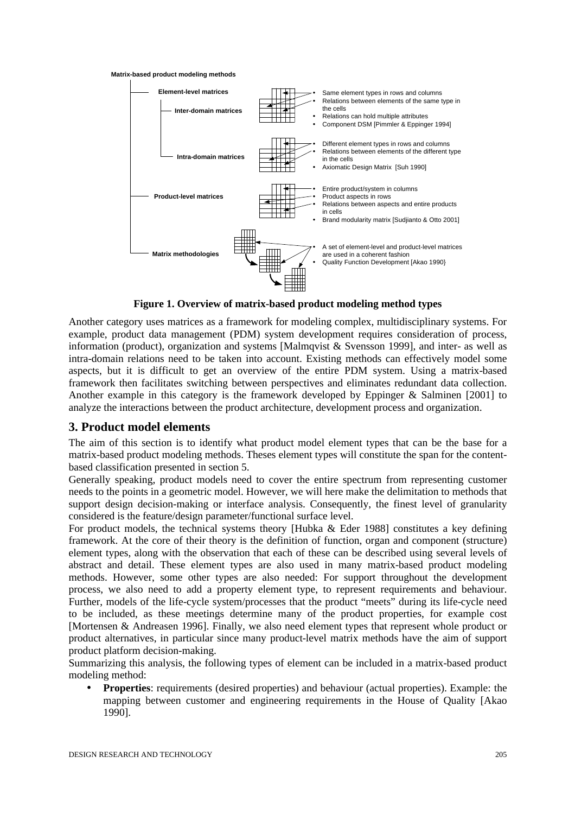



**Figure 1. Overview of matrix-based product modeling method types**

Another category uses matrices as a framework for modeling complex, multidisciplinary systems. For example, product data management (PDM) system development requires consideration of process, information (product), organization and systems [Malmqvist  $&$  Svensson 1999], and inter- as well as intra-domain relations need to be taken into account. Existing methods can effectively model some aspects, but it is difficult to get an overview of the entire PDM system. Using a matrix-based framework then facilitates switching between perspectives and eliminates redundant data collection. Another example in this category is the framework developed by Eppinger & Salminen [2001] to analyze the interactions between the product architecture, development process and organization.

### **3. Product model elements**

The aim of this section is to identify what product model element types that can be the base for a matrix-based product modeling methods. Theses element types will constitute the span for the contentbased classification presented in section 5.

Generally speaking, product models need to cover the entire spectrum from representing customer needs to the points in a geometric model. However, we will here make the delimitation to methods that support design decision-making or interface analysis. Consequently, the finest level of granularity considered is the feature/design parameter/functional surface level.

For product models, the technical systems theory [Hubka  $\&$  Eder 1988] constitutes a key defining framework. At the core of their theory is the definition of function, organ and component (structure) element types, along with the observation that each of these can be described using several levels of abstract and detail. These element types are also used in many matrix-based product modeling methods. However, some other types are also needed: For support throughout the development process, we also need to add a property element type, to represent requirements and behaviour. Further, models of the life-cycle system/processes that the product "meets" during its life-cycle need to be included, as these meetings determine many of the product properties, for example cost [Mortensen & Andreasen 1996]. Finally, we also need element types that represent whole product or product alternatives, in particular since many product-level matrix methods have the aim of support product platform decision-making.

Summarizing this analysis, the following types of element can be included in a matrix-based product modeling method:

• **Properties**: requirements (desired properties) and behaviour (actual properties). Example: the mapping between customer and engineering requirements in the House of Quality [Akao 1990].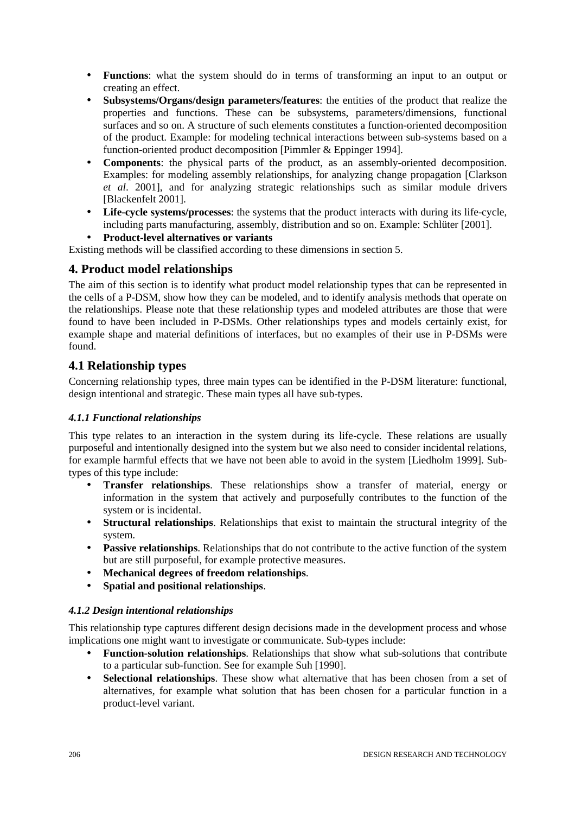- **Functions**: what the system should do in terms of transforming an input to an output or creating an effect.
- **Subsystems/Organs/design parameters/features**: the entities of the product that realize the properties and functions. These can be subsystems, parameters/dimensions, functional surfaces and so on. A structure of such elements constitutes a function-oriented decomposition of the product. Example: for modeling technical interactions between sub-systems based on a function-oriented product decomposition [Pimmler & Eppinger 1994].
- **Components**: the physical parts of the product, as an assembly-oriented decomposition. Examples: for modeling assembly relationships, for analyzing change propagation [Clarkson *et al*. 2001], and for analyzing strategic relationships such as similar module drivers [Blackenfelt 2001].
- **Life-cycle systems/processes**: the systems that the product interacts with during its life-cycle, including parts manufacturing, assembly, distribution and so on. Example: Schlüter [2001].
- **Product-level alternatives or variants**

Existing methods will be classified according to these dimensions in section 5.

# **4. Product model relationships**

The aim of this section is to identify what product model relationship types that can be represented in the cells of a P-DSM, show how they can be modeled, and to identify analysis methods that operate on the relationships. Please note that these relationship types and modeled attributes are those that were found to have been included in P-DSMs. Other relationships types and models certainly exist, for example shape and material definitions of interfaces, but no examples of their use in P-DSMs were found.

# **4.1 Relationship types**

Concerning relationship types, three main types can be identified in the P-DSM literature: functional, design intentional and strategic. These main types all have sub-types.

### *4.1.1 Functional relationships*

This type relates to an interaction in the system during its life-cycle. These relations are usually purposeful and intentionally designed into the system but we also need to consider incidental relations, for example harmful effects that we have not been able to avoid in the system [Liedholm 1999]. Subtypes of this type include:

- **Transfer relationships**. These relationships show a transfer of material, energy or information in the system that actively and purposefully contributes to the function of the system or is incidental.
- **Structural relationships**. Relationships that exist to maintain the structural integrity of the system.
- **Passive relationships**. Relationships that do not contribute to the active function of the system but are still purposeful, for example protective measures.
- **Mechanical degrees of freedom relationships**.
- **Spatial and positional relationships**.

### *4.1.2 Design intentional relationships*

This relationship type captures different design decisions made in the development process and whose implications one might want to investigate or communicate. Sub-types include:

- **Function-solution relationships**. Relationships that show what sub-solutions that contribute to a particular sub-function. See for example Suh [1990].
- **Selectional relationships**. These show what alternative that has been chosen from a set of alternatives, for example what solution that has been chosen for a particular function in a product-level variant.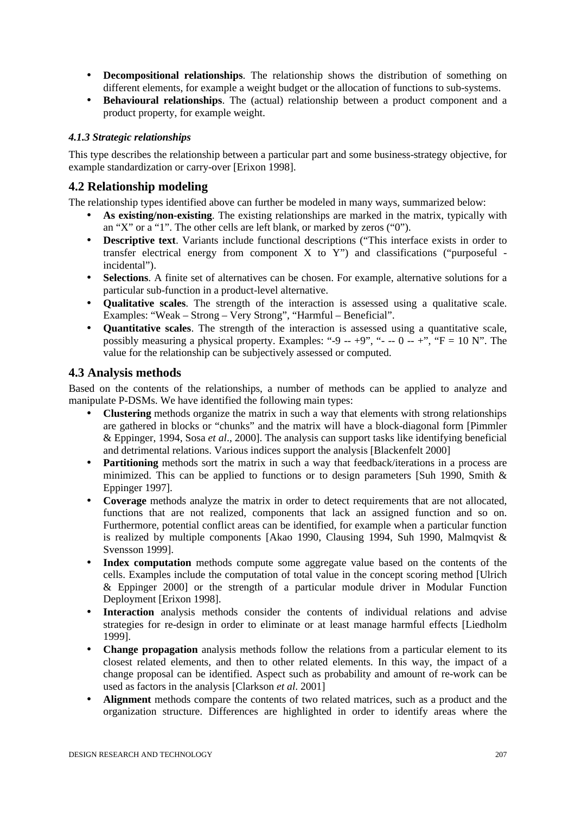- **Decompositional relationships**. The relationship shows the distribution of something on different elements, for example a weight budget or the allocation of functions to sub-systems.
- **Behavioural relationships**. The (actual) relationship between a product component and a product property, for example weight.

### *4.1.3 Strategic relationships*

This type describes the relationship between a particular part and some business-strategy objective, for example standardization or carry-over [Erixon 1998].

### **4.2 Relationship modeling**

The relationship types identified above can further be modeled in many ways, summarized below:

- As existing/non-existing. The existing relationships are marked in the matrix, typically with an "X" or a "1". The other cells are left blank, or marked by zeros ("0").
- **Descriptive text**. Variants include functional descriptions ("This interface exists in order to transfer electrical energy from component X to Y") and classifications ("purposeful incidental").
- **Selections**. A finite set of alternatives can be chosen. For example, alternative solutions for a particular sub-function in a product-level alternative.
- **Qualitative scales**. The strength of the interaction is assessed using a qualitative scale. Examples: "Weak – Strong – Very Strong", "Harmful – Beneficial".
- **Quantitative scales**. The strength of the interaction is assessed using a quantitative scale, possibly measuring a physical property. Examples: "-9 -- +9", "- -- 0 -- +", " $F = 10 N$ ". The value for the relationship can be subjectively assessed or computed.

### **4.3 Analysis methods**

Based on the contents of the relationships, a number of methods can be applied to analyze and manipulate P-DSMs. We have identified the following main types:

- **Clustering** methods organize the matrix in such a way that elements with strong relationships are gathered in blocks or "chunks" and the matrix will have a block-diagonal form [Pimmler & Eppinger, 1994, Sosa *et al*., 2000]. The analysis can support tasks like identifying beneficial and detrimental relations. Various indices support the analysis [Blackenfelt 2000]
- **Partitioning** methods sort the matrix in such a way that feedback/iterations in a process are minimized. This can be applied to functions or to design parameters [Suh 1990, Smith  $\&$ Eppinger 1997].
- **Coverage** methods analyze the matrix in order to detect requirements that are not allocated, functions that are not realized, components that lack an assigned function and so on. Furthermore, potential conflict areas can be identified, for example when a particular function is realized by multiple components [Akao 1990, Clausing 1994, Suh 1990, Malmqvist & Svensson 1999].
- Index computation methods compute some aggregate value based on the contents of the cells. Examples include the computation of total value in the concept scoring method [Ulrich & Eppinger 2000] or the strength of a particular module driver in Modular Function Deployment [Erixon 1998].
- **Interaction** analysis methods consider the contents of individual relations and advise strategies for re-design in order to eliminate or at least manage harmful effects [Liedholm 1999].
- **Change propagation** analysis methods follow the relations from a particular element to its closest related elements, and then to other related elements. In this way, the impact of a change proposal can be identified. Aspect such as probability and amount of re-work can be used as factors in the analysis [Clarkson *et al*. 2001]
- **Alignment** methods compare the contents of two related matrices, such as a product and the organization structure. Differences are highlighted in order to identify areas where the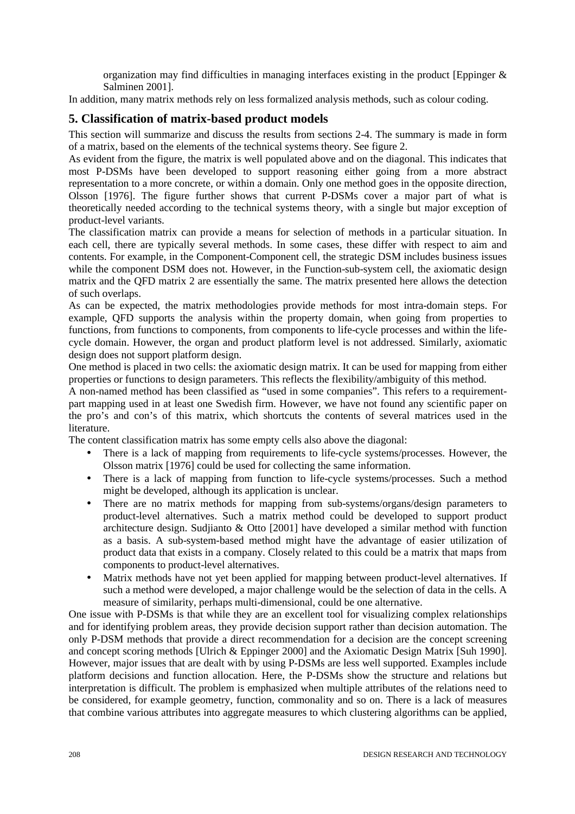organization may find difficulties in managing interfaces existing in the product [Eppinger & Salminen 2001].

In addition, many matrix methods rely on less formalized analysis methods, such as colour coding.

### **5. Classification of matrix-based product models**

This section will summarize and discuss the results from sections 2-4. The summary is made in form of a matrix, based on the elements of the technical systems theory. See figure 2.

As evident from the figure, the matrix is well populated above and on the diagonal. This indicates that most P-DSMs have been developed to support reasoning either going from a more abstract representation to a more concrete, or within a domain. Only one method goes in the opposite direction, Olsson [1976]. The figure further shows that current P-DSMs cover a major part of what is theoretically needed according to the technical systems theory, with a single but major exception of product-level variants.

The classification matrix can provide a means for selection of methods in a particular situation. In each cell, there are typically several methods. In some cases, these differ with respect to aim and contents. For example, in the Component-Component cell, the strategic DSM includes business issues while the component DSM does not. However, in the Function-sub-system cell, the axiomatic design matrix and the QFD matrix 2 are essentially the same. The matrix presented here allows the detection of such overlaps.

As can be expected, the matrix methodologies provide methods for most intra-domain steps. For example, QFD supports the analysis within the property domain, when going from properties to functions, from functions to components, from components to life-cycle processes and within the lifecycle domain. However, the organ and product platform level is not addressed. Similarly, axiomatic design does not support platform design.

One method is placed in two cells: the axiomatic design matrix. It can be used for mapping from either properties or functions to design parameters. This reflects the flexibility/ambiguity of this method.

A non-named method has been classified as "used in some companies". This refers to a requirementpart mapping used in at least one Swedish firm. However, we have not found any scientific paper on the pro's and con's of this matrix, which shortcuts the contents of several matrices used in the literature.

The content classification matrix has some empty cells also above the diagonal:

- There is a lack of mapping from requirements to life-cycle systems/processes. However, the Olsson matrix [1976] could be used for collecting the same information.
- There is a lack of mapping from function to life-cycle systems/processes. Such a method might be developed, although its application is unclear.
- There are no matrix methods for mapping from sub-systems/organs/design parameters to product-level alternatives. Such a matrix method could be developed to support product architecture design. Sudjianto & Otto [2001] have developed a similar method with function as a basis. A sub-system-based method might have the advantage of easier utilization of product data that exists in a company. Closely related to this could be a matrix that maps from components to product-level alternatives.
- Matrix methods have not yet been applied for mapping between product-level alternatives. If such a method were developed, a major challenge would be the selection of data in the cells. A measure of similarity, perhaps multi-dimensional, could be one alternative.

One issue with P-DSMs is that while they are an excellent tool for visualizing complex relationships and for identifying problem areas, they provide decision support rather than decision automation. The only P-DSM methods that provide a direct recommendation for a decision are the concept screening and concept scoring methods [Ulrich & Eppinger 2000] and the Axiomatic Design Matrix [Suh 1990]. However, major issues that are dealt with by using P-DSMs are less well supported. Examples include platform decisions and function allocation. Here, the P-DSMs show the structure and relations but interpretation is difficult. The problem is emphasized when multiple attributes of the relations need to be considered, for example geometry, function, commonality and so on. There is a lack of measures that combine various attributes into aggregate measures to which clustering algorithms can be applied,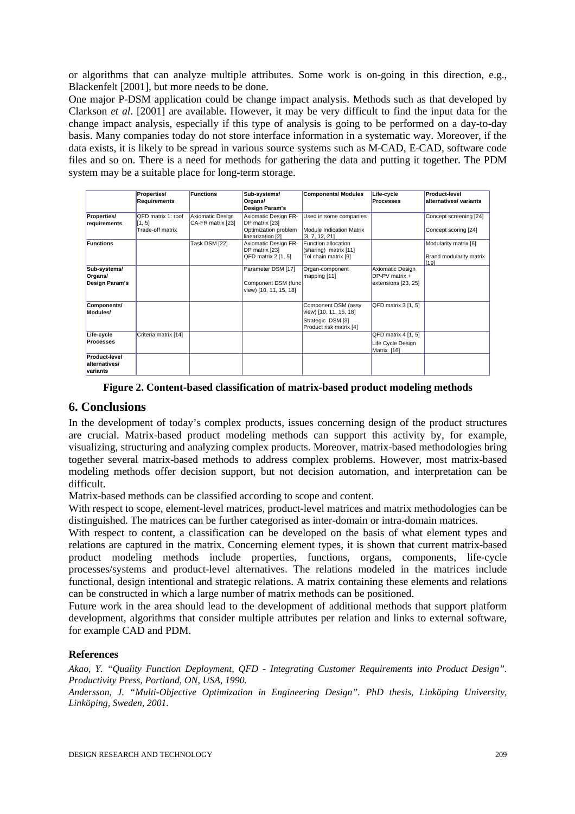or algorithms that can analyze multiple attributes. Some work is on-going in this direction, e.g., Blackenfelt [2001], but more needs to be done.

One major P-DSM application could be change impact analysis. Methods such as that developed by Clarkson *et al*. [2001] are available. However, it may be very difficult to find the input data for the change impact analysis, especially if this type of analysis is going to be performed on a day-to-day basis. Many companies today do not store interface information in a systematic way. Moreover, if the data exists, it is likely to be spread in various source systems such as M-CAD, E-CAD, software code files and so on. There is a need for methods for gathering the data and putting it together. The PDM system may be a suitable place for long-term storage.

|                                                   | Properties/                  | <b>Functions</b>                      | Sub-systems/                                                        | <b>Components/ Modules</b>                                                                    | Life-cycle                                                  | Product-level                                                    |
|---------------------------------------------------|------------------------------|---------------------------------------|---------------------------------------------------------------------|-----------------------------------------------------------------------------------------------|-------------------------------------------------------------|------------------------------------------------------------------|
|                                                   | Requirements                 |                                       | Organs/<br>Design Param's                                           |                                                                                               | <b>Processes</b>                                            | alternatives/ variants                                           |
| Properties/<br>requirements                       | QFD matrix 1: roof<br>[1, 5] | Axiomatic Design<br>CA-FR matrix [23] | Axiomatic Design FR-<br>DP matrix [23]                              | Used in some companies                                                                        |                                                             | Concept screening [24]                                           |
|                                                   | Trade-off matrix             |                                       | Optimization problem<br>linearization [2]                           | <b>Module Indication Matrix</b><br>[3, 7, 12, 21]                                             |                                                             | Concept scoring [24]                                             |
| <b>Functions</b>                                  |                              | Task DSM [22]                         | Axiomatic Design FR-<br>DP matrix [23]<br>QFD matrix 2 [1, 5]       | <b>Function allocation</b><br>(sharing) matrix [11]<br>Tol chain matrix [9]                   |                                                             | Modularity matrix [6]<br>Brand modularity matrix<br>$\sqrt{191}$ |
| Sub-systems/<br>Organs/<br>Design Param's         |                              |                                       | Parameter DSM [17]<br>Component DSM (func<br>view) [10, 11, 15, 18] | Organ-component<br>mapping [11]                                                               | Axiomatic Design<br>$DP-PV$ matrix +<br>extensions [23, 25] |                                                                  |
| Components/<br>Modules/                           |                              |                                       |                                                                     | Component DSM (assy<br>view) [10, 11, 15, 18]<br>Strategic DSM [3]<br>Product risk matrix [4] | QFD matrix 3 [1, 5]                                         |                                                                  |
| Life-cycle<br><b>Processes</b>                    | Criteria matrix [14]         |                                       |                                                                     |                                                                                               | QFD matrix 4 [1, 5]<br>Life Cycle Design<br>Matrix [16]     |                                                                  |
| <b>Product-level</b><br>alternatives/<br>variants |                              |                                       |                                                                     |                                                                                               |                                                             |                                                                  |

**Figure 2. Content-based classification of matrix-based product modeling methods**

### **6. Conclusions**

In the development of today's complex products, issues concerning design of the product structures are crucial. Matrix-based product modeling methods can support this activity by, for example, visualizing, structuring and analyzing complex products. Moreover, matrix-based methodologies bring together several matrix-based methods to address complex problems. However, most matrix-based modeling methods offer decision support, but not decision automation, and interpretation can be difficult.

Matrix-based methods can be classified according to scope and content.

With respect to scope, element-level matrices, product-level matrices and matrix methodologies can be distinguished. The matrices can be further categorised as inter-domain or intra-domain matrices.

With respect to content, a classification can be developed on the basis of what element types and relations are captured in the matrix. Concerning element types, it is shown that current matrix-based product modeling methods include properties, functions, organs, components, life-cycle processes/systems and product-level alternatives. The relations modeled in the matrices include functional, design intentional and strategic relations. A matrix containing these elements and relations can be constructed in which a large number of matrix methods can be positioned.

Future work in the area should lead to the development of additional methods that support platform development, algorithms that consider multiple attributes per relation and links to external software, for example CAD and PDM.

### **References**

*Akao, Y. "Quality Function Deployment, QFD - Integrating Customer Requirements into Product Design". Productivity Press, Portland, ON, USA, 1990.*

*Andersson, J. "Multi-Objective Optimization in Engineering Design". PhD thesis, Linköping University, Linköping, Sweden, 2001.*